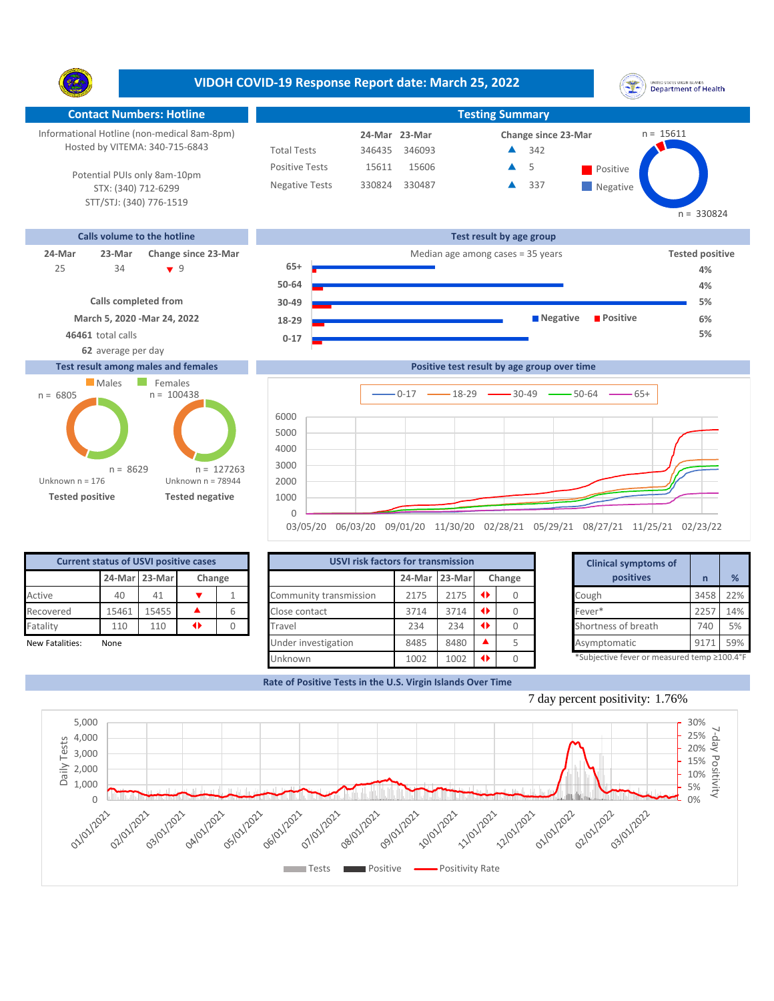**VIDOH COVID-19 Response Report date: March 25, 2022** UNITED STATES VIRGIN SLANDS<br>Department of Health Y. **Contact Numbers: Hotline Testing Summary** Informational Hotline (non-medical 8am-8pm)  $n = 15611$ **24-Mar Change since 23-Mar 23-Mar** Hosted by VITEMA: 340-715-6843 Total Tests 346435 346093 342 ▲ Positive Tests 15611  $15606$   $\triangle$  5 Positive  $\blacktriangle$ 5 Potential PUIs only 8am-10pm Negative Tests 330824 330487 337 Â **Negative** STX: (340) 712-6299 STT/STJ: (340) 776-1519  $n = 330824$ **Calls volume to the hotline Test result by age group 24-Mar 23-Mar Change since 23-Mar** Median age among cases = 35 years **Tested positive 65+** 34 9 25 **4% 50-64 4% Calls completed from 5% 30-49 March 5, 2020 -Mar 24, 2022 Negative Positive 6% 18-29 46461** total calls **5% 0-17**

## **Test result among males and females**

**62** average per day



|          |  |  | Positive test result by age group over time                                      |  |  |
|----------|--|--|----------------------------------------------------------------------------------|--|--|
|          |  |  |                                                                                  |  |  |
| 6000     |  |  |                                                                                  |  |  |
| 5000     |  |  |                                                                                  |  |  |
| 4000     |  |  |                                                                                  |  |  |
| 3000     |  |  |                                                                                  |  |  |
| 2000     |  |  |                                                                                  |  |  |
| 1000     |  |  |                                                                                  |  |  |
| $\Omega$ |  |  |                                                                                  |  |  |
|          |  |  | 03/05/20 06/03/20 09/01/20 11/30/20 02/28/21 05/29/21 08/27/21 11/25/21 02/23/22 |  |  |

| <b>Current status of USVI positive cases</b> |               |        |  |   |  |  |  |  |  |
|----------------------------------------------|---------------|--------|--|---|--|--|--|--|--|
|                                              | 24-Mar 23-Mar | Change |  |   |  |  |  |  |  |
| Active                                       | 40            | 41     |  |   |  |  |  |  |  |
| Recovered                                    | 15461         | 15455  |  | 6 |  |  |  |  |  |
| Fatality                                     | 110           | 110    |  |   |  |  |  |  |  |
| <b>New Fatalities:</b>                       | None          |        |  |   |  |  |  |  |  |

|                 | <b>Current status of USVI positive cases</b> |       |                 |                        | <b>USVI risk factors for transmission</b> |      |        |  |           |                                            |      |     |
|-----------------|----------------------------------------------|-------|-----------------|------------------------|-------------------------------------------|------|--------|--|-----------|--------------------------------------------|------|-----|
|                 | 24-Mar 23-Mar<br>Change                      |       |                 | 24-Mar                 | 23-Mar                                    |      | Change |  | positives |                                            | %    |     |
| Active          | 40                                           | 41    |                 | Community transmission | 2175                                      | 2175 |        |  |           | Cough                                      | 3458 | 22% |
| Recovered       | 15461                                        | 15455 |                 | Close contact          | 3714                                      | 3714 |        |  |           | Fever*                                     | 225  | 14% |
| Fatality        | 110                                          | 110   | $\blacklozenge$ | Travel                 | 234                                       | 234  |        |  |           | Shortness of breath                        | 740  | 5%  |
| New Fatalities: | None                                         |       |                 | Under investigation    | 8485                                      | 8480 |        |  |           | Asymptomatic                               | 917' | 59% |
|                 |                                              |       |                 | Unknown                | 1002                                      | 1002 |        |  |           | *Subjective fever or measured temp ≥100.4° |      |     |

|        | for transmission |           |        | <b>Clinical symptoms of</b>                 |      |     |
|--------|------------------|-----------|--------|---------------------------------------------|------|-----|
| 24-Mar | 23-Marl          |           | Change | positives                                   | n    |     |
| 2175   | 2175             | O         | 0      | Cough                                       | 3458 | 22% |
| 3714   | 3714             | ◆         |        | Fever*                                      | 2257 | 14% |
| 234    | 234              | ◆         |        | Shortness of breath                         | 740  | 5%  |
| 8485   | 8480             |           | 5      | Asymptomatic                                | 9171 | 59% |
| 1002   | 1002             | $\bullet$ |        | *Subjective fever or measured temp ≥100.4°F |      |     |

**Rate of Positive Tests in the U.S. Virgin Islands Over Time**